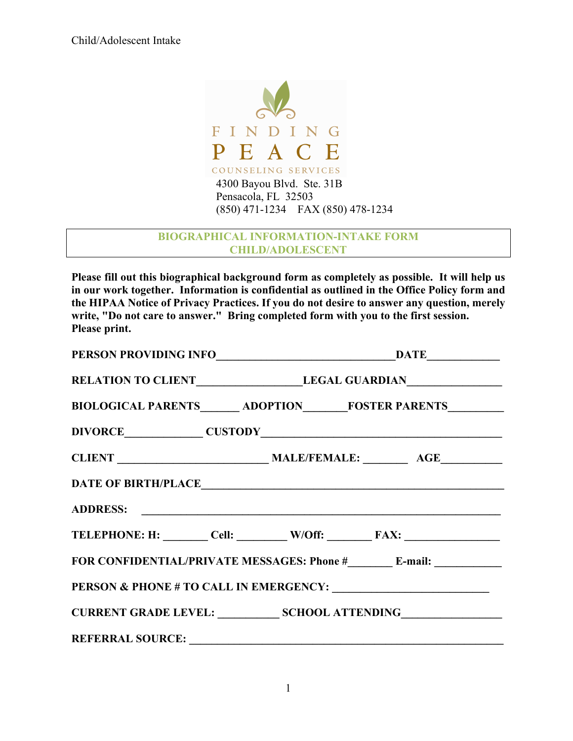

## **BIOGRAPHICAL INFORMATION-INTAKE FORM CHILD/ADOLESCENT**

**Please fill out this biographical background form as completely as possible. It will help us in our work together. Information is confidential as outlined in the Office Policy form and the HIPAA Notice of Privacy Practices. If you do not desire to answer any question, merely write, "Do not care to answer." Bring completed form with you to the first session. Please print.**

| RELATION TO CLIENT LEGAL GUARDIAN                                                |  |  |
|----------------------------------------------------------------------------------|--|--|
| BIOLOGICAL PARENTS_______ ADOPTION________ FOSTER PARENTS__________              |  |  |
|                                                                                  |  |  |
|                                                                                  |  |  |
|                                                                                  |  |  |
|                                                                                  |  |  |
| TELEPHONE: H: ________ Cell: _________ W/Off: ________ FAX: ____________________ |  |  |
|                                                                                  |  |  |
|                                                                                  |  |  |
| CURRENT GRADE LEVEL: SCHOOL ATTENDING CURRENT GRADE LEVEL:                       |  |  |
|                                                                                  |  |  |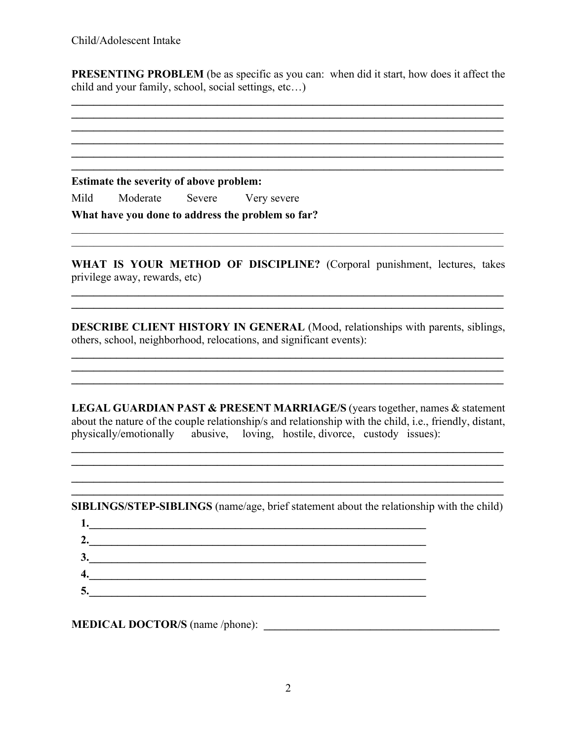**PRESENTING PROBLEM** (be as specific as you can: when did it start, how does it affect the child and your family, school, social settings, etc…)

**\_\_\_\_\_\_\_\_\_\_\_\_\_\_\_\_\_\_\_\_\_\_\_\_\_\_\_\_\_\_\_\_\_\_\_\_\_\_\_\_\_\_\_\_\_\_\_\_\_\_\_\_\_\_\_\_\_\_\_\_\_\_\_\_\_\_\_\_\_\_\_\_\_\_\_\_\_**

**\_\_\_\_\_\_\_\_\_\_\_\_\_\_\_\_\_\_\_\_\_\_\_\_\_\_\_\_\_\_\_\_\_\_\_\_\_\_\_\_\_\_\_\_\_\_\_\_\_\_\_\_\_\_\_\_\_\_\_\_\_\_\_\_\_\_\_\_\_\_\_\_\_\_\_\_\_**  $\mathcal{L}_\mathcal{L} = \{ \mathcal{L}_\mathcal{L} = \{ \mathcal{L}_\mathcal{L} = \{ \mathcal{L}_\mathcal{L} = \{ \mathcal{L}_\mathcal{L} = \{ \mathcal{L}_\mathcal{L} = \{ \mathcal{L}_\mathcal{L} = \{ \mathcal{L}_\mathcal{L} = \{ \mathcal{L}_\mathcal{L} = \{ \mathcal{L}_\mathcal{L} = \{ \mathcal{L}_\mathcal{L} = \{ \mathcal{L}_\mathcal{L} = \{ \mathcal{L}_\mathcal{L} = \{ \mathcal{L}_\mathcal{L} = \{ \mathcal{L}_\mathcal{$ 

**\_\_\_\_\_\_\_\_\_\_\_\_\_\_\_\_\_\_\_\_\_\_\_\_\_\_\_\_\_\_\_\_\_\_\_\_\_\_\_\_\_\_\_\_\_\_\_\_\_\_\_\_\_\_\_\_\_\_\_\_\_\_\_\_\_\_\_\_\_\_\_\_\_\_\_\_\_**

**Estimate the severity of above problem:** 

Mild Moderate Severe Very severe

**What have you done to address the problem so far?** 

 $\mathcal{L}_\mathcal{L} = \{ \mathcal{L}_\mathcal{L} = \{ \mathcal{L}_\mathcal{L} = \{ \mathcal{L}_\mathcal{L} = \{ \mathcal{L}_\mathcal{L} = \{ \mathcal{L}_\mathcal{L} = \{ \mathcal{L}_\mathcal{L} = \{ \mathcal{L}_\mathcal{L} = \{ \mathcal{L}_\mathcal{L} = \{ \mathcal{L}_\mathcal{L} = \{ \mathcal{L}_\mathcal{L} = \{ \mathcal{L}_\mathcal{L} = \{ \mathcal{L}_\mathcal{L} = \{ \mathcal{L}_\mathcal{L} = \{ \mathcal{L}_\mathcal{$ 

WHAT IS YOUR METHOD OF DISCIPLINE? (Corporal punishment, lectures, takes privilege away, rewards, etc)

**\_\_\_\_\_\_\_\_\_\_\_\_\_\_\_\_\_\_\_\_\_\_\_\_\_\_\_\_\_\_\_\_\_\_\_\_\_\_\_\_\_\_\_\_\_\_\_\_\_\_\_\_\_\_\_\_\_\_\_\_\_\_\_\_\_\_\_\_\_\_\_\_\_\_\_\_\_ \_\_\_\_\_\_\_\_\_\_\_\_\_\_\_\_\_\_\_\_\_\_\_\_\_\_\_\_\_\_\_\_\_\_\_\_\_\_\_\_\_\_\_\_\_\_\_\_\_\_\_\_\_\_\_\_\_\_\_\_\_\_\_\_\_\_\_\_\_\_\_\_\_\_\_\_\_**

 $\mathcal{L}_\mathcal{L} = \mathcal{L}_\mathcal{L} = \mathcal{L}_\mathcal{L} = \mathcal{L}_\mathcal{L} = \mathcal{L}_\mathcal{L} = \mathcal{L}_\mathcal{L} = \mathcal{L}_\mathcal{L} = \mathcal{L}_\mathcal{L} = \mathcal{L}_\mathcal{L} = \mathcal{L}_\mathcal{L} = \mathcal{L}_\mathcal{L} = \mathcal{L}_\mathcal{L} = \mathcal{L}_\mathcal{L} = \mathcal{L}_\mathcal{L} = \mathcal{L}_\mathcal{L} = \mathcal{L}_\mathcal{L} = \mathcal{L}_\mathcal{L}$ 

**DESCRIBE CLIENT HISTORY IN GENERAL (Mood, relationships with parents, siblings,** others, school, neighborhood, relocations, and significant events):

 $\mathcal{L}_\mathcal{L} = \{ \mathcal{L}_\mathcal{L} = \{ \mathcal{L}_\mathcal{L} = \{ \mathcal{L}_\mathcal{L} = \{ \mathcal{L}_\mathcal{L} = \{ \mathcal{L}_\mathcal{L} = \{ \mathcal{L}_\mathcal{L} = \{ \mathcal{L}_\mathcal{L} = \{ \mathcal{L}_\mathcal{L} = \{ \mathcal{L}_\mathcal{L} = \{ \mathcal{L}_\mathcal{L} = \{ \mathcal{L}_\mathcal{L} = \{ \mathcal{L}_\mathcal{L} = \{ \mathcal{L}_\mathcal{L} = \{ \mathcal{L}_\mathcal{$ **\_\_\_\_\_\_\_\_\_\_\_\_\_\_\_\_\_\_\_\_\_\_\_\_\_\_\_\_\_\_\_\_\_\_\_\_\_\_\_\_\_\_\_\_\_\_\_\_\_\_\_\_\_\_\_\_\_\_\_\_\_\_\_\_\_\_\_\_\_\_\_\_\_\_\_\_\_ \_\_\_\_\_\_\_\_\_\_\_\_\_\_\_\_\_\_\_\_\_\_\_\_\_\_\_\_\_\_\_\_\_\_\_\_\_\_\_\_\_\_\_\_\_\_\_\_\_\_\_\_\_\_\_\_\_\_\_\_\_\_\_\_\_\_\_\_\_\_\_\_\_\_\_\_\_**

**LEGAL GUARDIAN PAST & PRESENT MARRIAGE/S** (years together, names & statement about the nature of the couple relationship/s and relationship with the child, i.e., friendly, distant, physically/emotionally abusive, loving, hostile, divorce, custody issues):

**\_\_\_\_\_\_\_\_\_\_\_\_\_\_\_\_\_\_\_\_\_\_\_\_\_\_\_\_\_\_\_\_\_\_\_\_\_\_\_\_\_\_\_\_\_\_\_\_\_\_\_\_\_\_\_\_\_\_\_\_\_\_\_\_\_\_\_\_\_\_\_\_\_\_\_\_\_ \_\_\_\_\_\_\_\_\_\_\_\_\_\_\_\_\_\_\_\_\_\_\_\_\_\_\_\_\_\_\_\_\_\_\_\_\_\_\_\_\_\_\_\_\_\_\_\_\_\_\_\_\_\_\_\_\_\_\_\_\_\_\_\_\_\_\_\_\_\_\_\_\_\_\_\_\_**  $\mathcal{L}_\mathcal{L} = \{ \mathcal{L}_\mathcal{L} = \{ \mathcal{L}_\mathcal{L} = \{ \mathcal{L}_\mathcal{L} = \{ \mathcal{L}_\mathcal{L} = \{ \mathcal{L}_\mathcal{L} = \{ \mathcal{L}_\mathcal{L} = \{ \mathcal{L}_\mathcal{L} = \{ \mathcal{L}_\mathcal{L} = \{ \mathcal{L}_\mathcal{L} = \{ \mathcal{L}_\mathcal{L} = \{ \mathcal{L}_\mathcal{L} = \{ \mathcal{L}_\mathcal{L} = \{ \mathcal{L}_\mathcal{L} = \{ \mathcal{L}_\mathcal{$ 

**\_\_\_\_\_\_\_\_\_\_\_\_\_\_\_\_\_\_\_\_\_\_\_\_\_\_\_\_\_\_\_\_\_\_\_\_\_\_\_\_\_\_\_\_\_\_\_\_\_\_\_\_\_\_\_\_\_\_\_\_\_\_\_\_\_\_\_\_\_\_\_\_\_\_\_\_\_ SIBLINGS/STEP-SIBLINGS** (name/age, brief statement about the relationship with the child)

| ◠<br>$\bullet$           |  |
|--------------------------|--|
| $\overline{\phantom{a}}$ |  |
|                          |  |

**MEDICAL DOCTOR/S** (name /phone):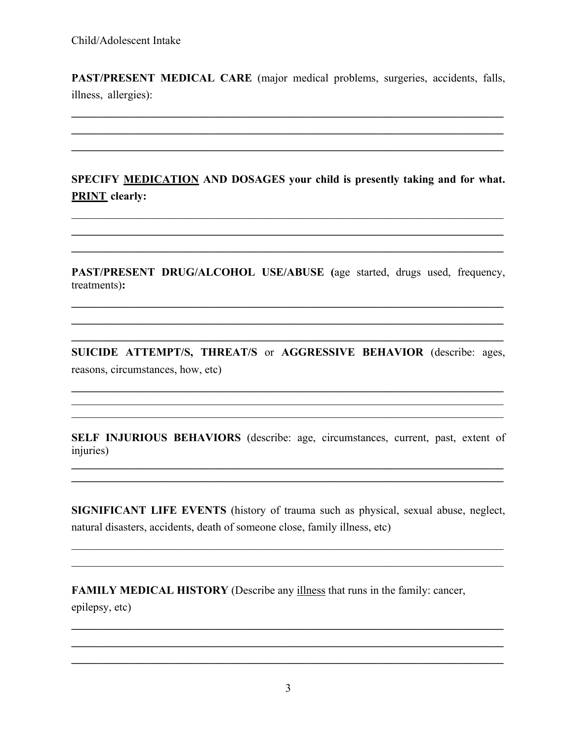PAST/PRESENT MEDICAL CARE (major medical problems, surgeries, accidents, falls, illness, allergies):

SPECIFY MEDICATION AND DOSAGES your child is presently taking and for what. **PRINT** clearly:

PAST/PRESENT DRUG/ALCOHOL USE/ABUSE (age started, drugs used, frequency, treatments):

SUICIDE ATTEMPT/S, THREAT/S or AGGRESSIVE BEHAVIOR (describe: ages, reasons, circumstances, how, etc)

SELF INJURIOUS BEHAVIORS (describe: age, circumstances, current, past, extent of injuries)

SIGNIFICANT LIFE EVENTS (history of trauma such as physical, sexual abuse, neglect, natural disasters, accidents, death of someone close, family illness, etc)

**FAMILY MEDICAL HISTORY** (Describe any *illness* that runs in the family: cancer, epilepsy, etc)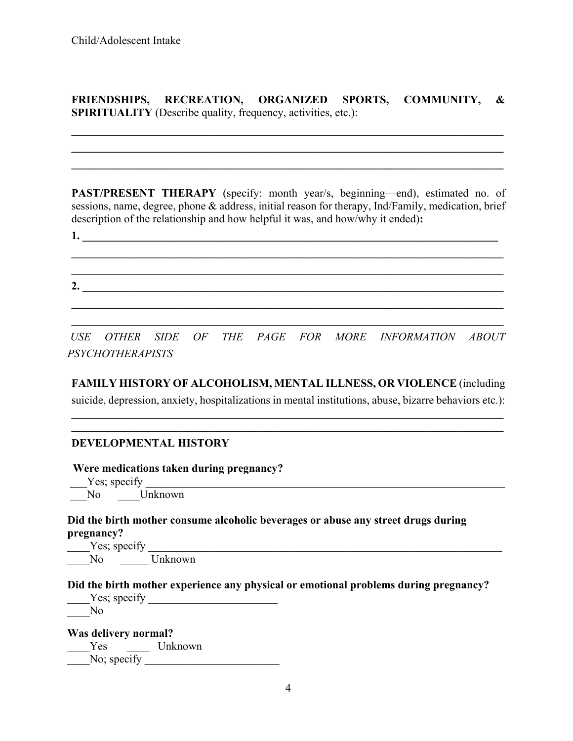**FRIENDSHIPS, RECREATION, ORGANIZED SPORTS, COMMUNITY, & SPIRITUALITY** (Describe quality, frequency, activities, etc.):

**\_\_\_\_\_\_\_\_\_\_\_\_\_\_\_\_\_\_\_\_\_\_\_\_\_\_\_\_\_\_\_\_\_\_\_\_\_\_\_\_\_\_\_\_\_\_\_\_\_\_\_\_\_\_\_\_\_\_\_\_\_\_\_\_\_\_\_\_\_\_\_\_\_\_\_\_\_ \_\_\_\_\_\_\_\_\_\_\_\_\_\_\_\_\_\_\_\_\_\_\_\_\_\_\_\_\_\_\_\_\_\_\_\_\_\_\_\_\_\_\_\_\_\_\_\_\_\_\_\_\_\_\_\_\_\_\_\_\_\_\_\_\_\_\_\_\_\_\_\_\_\_\_\_\_ \_\_\_\_\_\_\_\_\_\_\_\_\_\_\_\_\_\_\_\_\_\_\_\_\_\_\_\_\_\_\_\_\_\_\_\_\_\_\_\_\_\_\_\_\_\_\_\_\_\_\_\_\_\_\_\_\_\_\_\_\_\_\_\_\_\_\_\_\_\_\_\_\_\_\_\_\_**

**PAST/PRESENT THERAPY** (specify: month year/s, beginning—end), estimated no. of sessions, name, degree, phone & address, initial reason for therapy, Ind/Family, medication, brief description of the relationship and how helpful it was, and how/why it ended)**:**

**1. \_\_\_\_\_\_\_\_\_\_\_\_\_\_\_\_\_\_\_\_\_\_\_\_\_\_\_\_\_\_\_\_\_\_\_\_\_\_\_\_\_\_\_\_\_\_\_\_\_\_\_\_\_\_\_\_\_\_\_\_\_\_\_\_\_\_\_\_\_\_\_\_\_\_**

**\_\_\_\_\_\_\_\_\_\_\_\_\_\_\_\_\_\_\_\_\_\_\_\_\_\_\_\_\_\_\_\_\_\_\_\_\_\_\_\_\_\_\_\_\_\_\_\_\_\_\_\_\_\_\_\_\_\_\_\_\_\_\_\_\_\_\_\_\_\_\_\_\_\_\_\_\_ 2. \_\_\_\_\_\_\_\_\_\_\_\_\_\_\_\_\_\_\_\_\_\_\_\_\_\_\_\_\_\_\_\_\_\_\_\_\_\_\_\_\_\_\_\_\_\_\_\_\_\_\_\_\_\_\_\_\_\_\_\_\_\_\_\_\_\_\_\_\_\_\_\_\_\_\_ \_\_\_\_\_\_\_\_\_\_\_\_\_\_\_\_\_\_\_\_\_\_\_\_\_\_\_\_\_\_\_\_\_\_\_\_\_\_\_\_\_\_\_\_\_\_\_\_\_\_\_\_\_\_\_\_\_\_\_\_\_\_\_\_\_\_\_\_\_\_\_\_\_\_\_\_\_**

**\_\_\_\_\_\_\_\_\_\_\_\_\_\_\_\_\_\_\_\_\_\_\_\_\_\_\_\_\_\_\_\_\_\_\_\_\_\_\_\_\_\_\_\_\_\_\_\_\_\_\_\_\_\_\_\_\_\_\_\_\_\_\_\_\_\_\_\_\_\_\_\_\_\_\_\_\_**

*USE OTHER SIDE OF THE PAGE FOR MORE INFORMATION ABOUT PSYCHOTHERAPISTS*

**\_\_\_\_\_\_\_\_\_\_\_\_\_\_\_\_\_\_\_\_\_\_\_\_\_\_\_\_\_\_\_\_\_\_\_\_\_\_\_\_\_\_\_\_\_\_\_\_\_\_\_\_\_\_\_\_\_\_\_\_\_\_\_\_\_\_\_\_\_\_\_\_\_\_\_\_\_**

**FAMILY HISTORY OF ALCOHOLISM, MENTAL ILLNESS, OR VIOLENCE** (including suicide, depression, anxiety, hospitalizations in mental institutions, abuse, bizarre behaviors etc.):

**\_\_\_\_\_\_\_\_\_\_\_\_\_\_\_\_\_\_\_\_\_\_\_\_\_\_\_\_\_\_\_\_\_\_\_\_\_\_\_\_\_\_\_\_\_\_\_\_\_\_\_\_\_\_\_\_\_\_\_\_\_\_\_\_\_\_\_\_\_\_\_\_\_\_\_\_\_ \_\_\_\_\_\_\_\_\_\_\_\_\_\_\_\_\_\_\_\_\_\_\_\_\_\_\_\_\_\_\_\_\_\_\_\_\_\_\_\_\_\_\_\_\_\_\_\_\_\_\_\_\_\_\_\_\_\_\_\_\_\_\_\_\_\_\_\_\_\_\_\_\_\_\_\_\_**

## **DEVELOPMENTAL HISTORY**

 **Were medications taken during pregnancy?**

 $Y$ es; specify No Unknown

**Did the birth mother consume alcoholic beverages or abuse any street drugs during pregnancy?**

Yes; specify No Unknown

**Did the birth mother experience any physical or emotional problems during pregnancy?**

| Yes; specify |  |
|--------------|--|
|              |  |

**Was delivery normal?** \_\_\_\_Yes \_\_\_\_ Unknown No; specify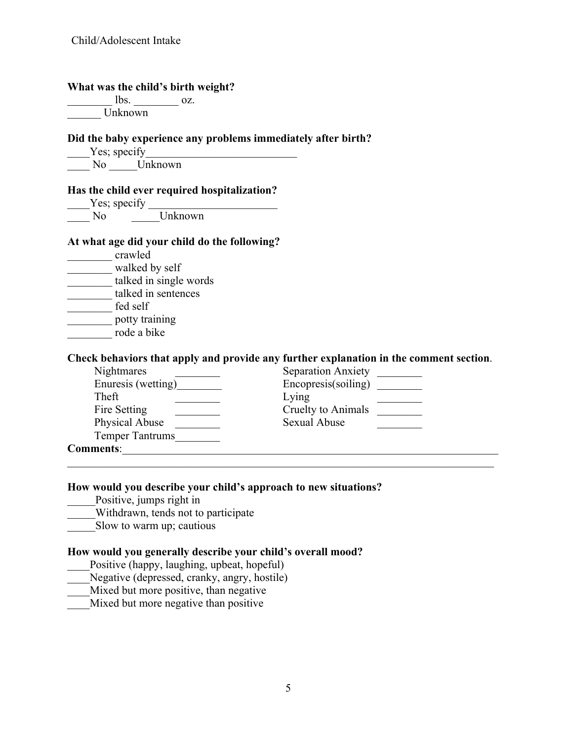| What was the child's birth weight?                                                                                                                                                    |                                                                                                                                     |
|---------------------------------------------------------------------------------------------------------------------------------------------------------------------------------------|-------------------------------------------------------------------------------------------------------------------------------------|
| $\frac{1}{\sqrt{1-\frac{1}{2}}}\cos \frac{1}{2}$ oz.                                                                                                                                  |                                                                                                                                     |
| Unknown                                                                                                                                                                               |                                                                                                                                     |
|                                                                                                                                                                                       | Did the baby experience any problems immediately after birth?                                                                       |
|                                                                                                                                                                                       |                                                                                                                                     |
| Yes; specify<br>No Unknown                                                                                                                                                            |                                                                                                                                     |
| Has the child ever required hospitalization?                                                                                                                                          |                                                                                                                                     |
| $Y$ es; specify $\frac{V}{V}$ Unknown                                                                                                                                                 |                                                                                                                                     |
| At what age did your child do the following?<br>crawled<br>walked by self<br>talked in single words<br>talked in sentences<br>fed self<br>potty training<br>rode a bike<br>Nightmares | Check behaviors that apply and provide any further explanation in the comment section.<br>Separation Anxiety<br>Encopresis(soiling) |
| Theft<br>Fire Setting                                                                                                                                                                 | Lying<br>Cruelty to Animals                                                                                                         |
| Physical Abuse                                                                                                                                                                        | <b>Sexual Abuse</b>                                                                                                                 |
| Temper Tantrums                                                                                                                                                                       |                                                                                                                                     |
|                                                                                                                                                                                       | Comments: Note of the Comments:                                                                                                     |
| Positive, jumps right in<br>Withdrawn, tends not to participate                                                                                                                       | How would you describe your child's approach to new situations?                                                                     |
| Slow to warm up; cautious                                                                                                                                                             |                                                                                                                                     |
| Positive (happy, laughing, upbeat, hopeful)<br>Negative (depressed, cranky, angry, hostile)<br>Mixed but more positive, than negative                                                 | How would you generally describe your child's overall mood?                                                                         |

\_\_\_\_Mixed but more negative than positive